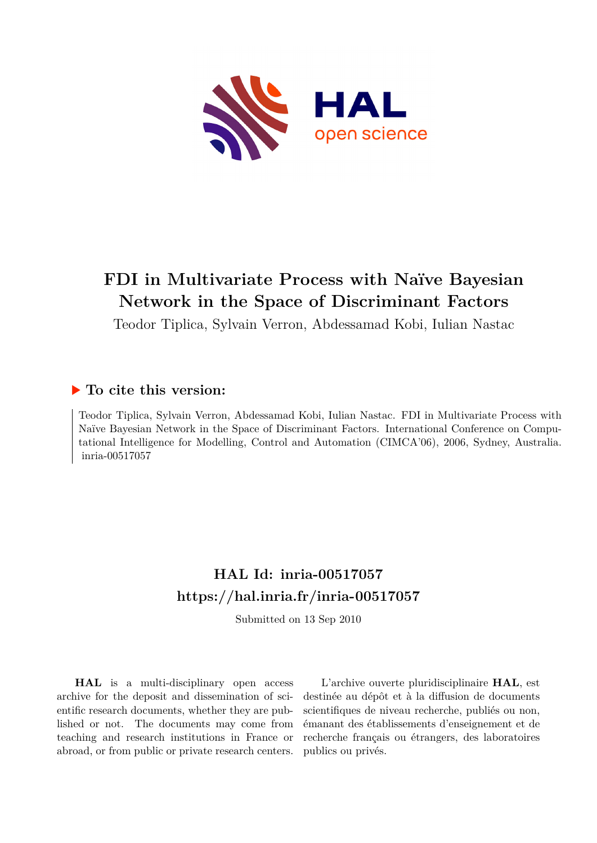

# **FDI in Multivariate Process with Naïve Bayesian Network in the Space of Discriminant Factors**

Teodor Tiplica, Sylvain Verron, Abdessamad Kobi, Iulian Nastac

## **To cite this version:**

Teodor Tiplica, Sylvain Verron, Abdessamad Kobi, Iulian Nastac. FDI in Multivariate Process with Naïve Bayesian Network in the Space of Discriminant Factors. International Conference on Computational Intelligence for Modelling, Control and Automation (CIMCA'06), 2006, Sydney, Australia. inria-00517057

## **HAL Id: inria-00517057 <https://hal.inria.fr/inria-00517057>**

Submitted on 13 Sep 2010

**HAL** is a multi-disciplinary open access archive for the deposit and dissemination of scientific research documents, whether they are published or not. The documents may come from teaching and research institutions in France or abroad, or from public or private research centers.

L'archive ouverte pluridisciplinaire **HAL**, est destinée au dépôt et à la diffusion de documents scientifiques de niveau recherche, publiés ou non, émanant des établissements d'enseignement et de recherche français ou étrangers, des laboratoires publics ou privés.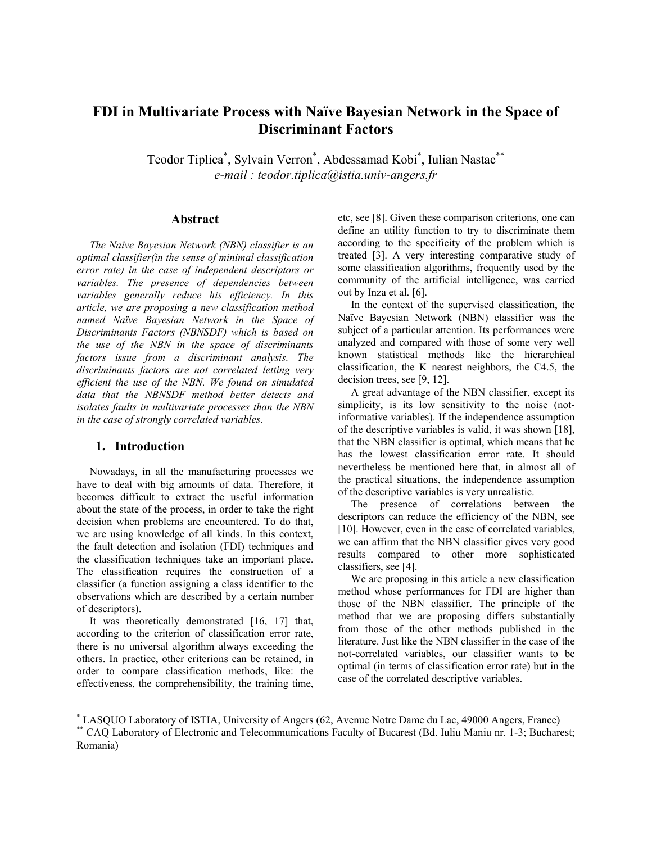### FDI in Multivariate Process with Naïve Bayesian Network in the Space of **Discriminant Factors**

Teodor Tiplica<sup>\*</sup>, Sylvain Verron<sup>\*</sup>, Abdessamad Kobi<sup>\*</sup>, Iulian Nastac<sup>\*\*</sup> e-mail: teodor.tiplica@istia.univ-angers.fr

#### Abstract

The Naïve Bayesian Network (NBN) classifier is an optimal classifier(in the sense of minimal classification error rate) in the case of independent descriptors or variables. The presence of dependencies between variables generally reduce his efficiency. In this article, we are proposing a new classification method named Naïve Bayesian Network in the Space of Discriminants Factors (NBNSDF) which is based on the use of the NBN in the space of discriminants factors issue from a discriminant analysis. The discriminants factors are not correlated letting very efficient the use of the NBN. We found on simulated data that the NBNSDF method better detects and isolates faults in multivariate processes than the NBN in the case of strongly correlated variables.

#### 1. Introduction

Nowadays, in all the manufacturing processes we have to deal with big amounts of data. Therefore, it becomes difficult to extract the useful information about the state of the process, in order to take the right decision when problems are encountered. To do that, we are using knowledge of all kinds. In this context, the fault detection and isolation (FDI) techniques and the classification techniques take an important place. The classification requires the construction of a classifier (a function assigning a class identifier to the observations which are described by a certain number of descriptors).

It was theoretically demonstrated [16, 17] that, according to the criterion of classification error rate. there is no universal algorithm always exceeding the others. In practice, other criterions can be retained, in order to compare classification methods, like: the effectiveness, the comprehensibility, the training time, etc, see [8]. Given these comparison criterions, one can define an utility function to try to discriminate them according to the specificity of the problem which is treated [3]. A very interesting comparative study of some classification algorithms, frequently used by the community of the artificial intelligence, was carried out by Inza et al. [6].

In the context of the supervised classification, the Naïve Bayesian Network (NBN) classifier was the subject of a particular attention. Its performances were analyzed and compared with those of some very well known statistical methods like the hierarchical classification, the K nearest neighbors, the C4.5, the decision trees, see  $[9, 12]$ .

A great advantage of the NBN classifier, except its simplicity, is its low sensitivity to the noise (notinformative variables). If the independence assumption of the descriptive variables is valid, it was shown [18]. that the NBN classifier is optimal, which means that he has the lowest classification error rate. It should nevertheless be mentioned here that, in almost all of the practical situations, the independence assumption of the descriptive variables is very unrealistic.

The presence of correlations between the descriptors can reduce the efficiency of the NBN, see [10]. However, even in the case of correlated variables, we can affirm that the NBN classifier gives very good results compared to other more sophisticated classifiers, see [4].

We are proposing in this article a new classification method whose performances for FDI are higher than those of the NBN classifier. The principle of the method that we are proposing differs substantially from those of the other methods published in the literature. Just like the NBN classifier in the case of the not-correlated variables, our classifier wants to be optimal (in terms of classification error rate) but in the case of the correlated descriptive variables.

<sup>\*</sup> LASQUO Laboratory of ISTIA, University of Angers (62, Avenue Notre Dame du Lac, 49000 Angers, France)

<sup>\*</sup> CAQ Laboratory of Electronic and Telecommunications Faculty of Bucarest (Bd. Iuliu Maniu nr. 1-3; Bucharest; Romania)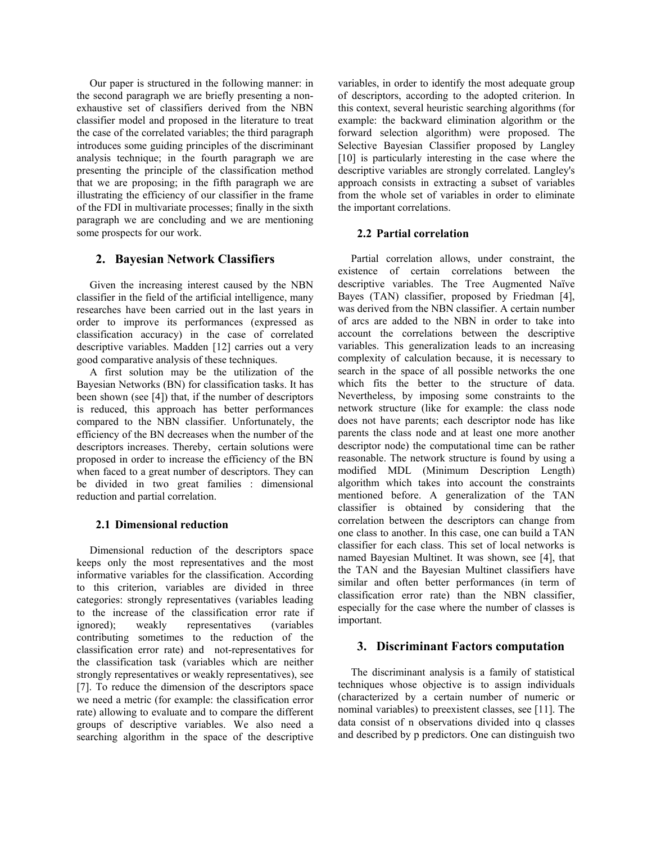Our paper is structured in the following manner: in the second paragraph we are briefly presenting a nonexhaustive set of classifiers derived from the NBN classifier model and proposed in the literature to treat the case of the correlated variables; the third paragraph introduces some guiding principles of the discriminant analysis technique; in the fourth paragraph we are presenting the principle of the classification method that we are proposing; in the fifth paragraph we are illustrating the efficiency of our classifier in the frame of the FDI in multivariate processes; finally in the sixth paragraph we are concluding and we are mentioning some prospects for our work.

#### 2. Bayesian Network Classifiers

Given the increasing interest caused by the NBN classifier in the field of the artificial intelligence, many researches have been carried out in the last years in order to improve its performances (expressed as classification accuracy) in the case of correlated descriptive variables. Madden [12] carries out a very good comparative analysis of these techniques.

A first solution may be the utilization of the Bayesian Networks (BN) for classification tasks. It has been shown (see [4]) that, if the number of descriptors is reduced, this approach has better performances compared to the NBN classifier. Unfortunately, the efficiency of the BN decreases when the number of the descriptors increases. Thereby, certain solutions were proposed in order to increase the efficiency of the BN when faced to a great number of descriptors. They can be divided in two great families : dimensional reduction and partial correlation.

#### 2.1 Dimensional reduction

Dimensional reduction of the descriptors space keeps only the most representatives and the most informative variables for the classification. According to this criterion, variables are divided in three categories: strongly representatives (variables leading to the increase of the classification error rate if ignored): weakly representatives *(variables)* contributing sometimes to the reduction of the classification error rate) and not-representatives for the classification task (variables which are neither strongly representatives or weakly representatives), see [7]. To reduce the dimension of the descriptors space we need a metric (for example: the classification error rate) allowing to evaluate and to compare the different groups of descriptive variables. We also need a searching algorithm in the space of the descriptive variables, in order to identify the most adequate group of descriptors, according to the adopted criterion. In this context, several heuristic searching algorithms (for example: the backward elimination algorithm or the forward selection algorithm) were proposed. The Selective Bayesian Classifier proposed by Langley [10] is particularly interesting in the case where the descriptive variables are strongly correlated. Langley's approach consists in extracting a subset of variables from the whole set of variables in order to eliminate the important correlations.

#### 2.2 Partial correlation

Partial correlation allows, under constraint, the existence of certain correlations between the descriptive variables. The Tree Augmented Naïve Bayes (TAN) classifier, proposed by Friedman [4], was derived from the NBN classifier. A certain number of arcs are added to the NBN in order to take into account the correlations between the descriptive variables. This generalization leads to an increasing complexity of calculation because, it is necessary to search in the space of all possible networks the one which fits the better to the structure of data. Nevertheless, by imposing some constraints to the network structure (like for example: the class node does not have parents; each descriptor node has like parents the class node and at least one more another descriptor node) the computational time can be rather reasonable. The network structure is found by using a modified MDL (Minimum Description Length) algorithm which takes into account the constraints mentioned before. A generalization of the TAN classifier is obtained by considering that the correlation between the descriptors can change from one class to another. In this case, one can build a TAN classifier for each class. This set of local networks is named Bayesian Multinet. It was shown, see [4], that the TAN and the Bayesian Multinet classifiers have similar and often better performances (in term of classification error rate) than the NBN classifier, especially for the case where the number of classes is important.

#### 3. Discriminant Factors computation

The discriminant analysis is a family of statistical techniques whose objective is to assign individuals (characterized by a certain number of numeric or nominal variables) to preexistent classes, see [11]. The data consist of n observations divided into a classes and described by p predictors. One can distinguish two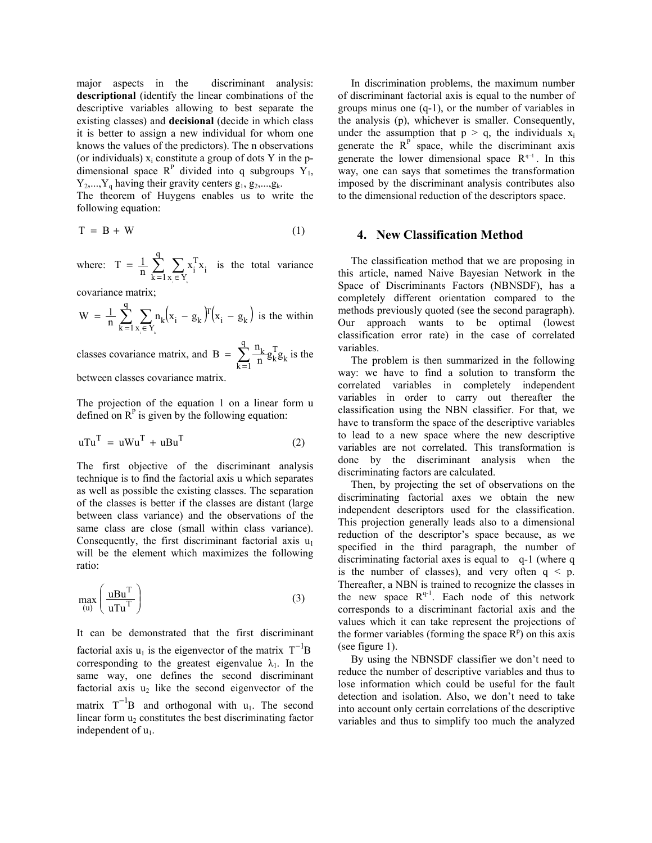major aspects in the discriminant analysis: descriptional (identify the linear combinations of the descriptive variables allowing to best separate the existing classes) and **decisional** (decide in which class it is better to assign a new individual for whom one knows the values of the predictors). The n observations (or individuals)  $x_i$  constitute a group of dots Y in the pdimensional space  $R^P$  divided into q subgroups  $Y_1$ ,  $Y_2,..., Y_q$  having their gravity centers  $g_1, g_2,..., g_k$ .

The theorem of Huygens enables us to write the following equation:

$$
T = B + W \tag{1}
$$

where:  $T = \frac{1}{n} \sum_{k=1}^{q} \sum_{x \in Y} x_i^T x_i$  is the total variance

covariance matrix;

$$
W = \frac{1}{n} \sum_{k=1}^{q} \sum_{x_i \in Y_k} n_k (x_i - g_k) F(x_i - g_k)
$$
 is the within

classes covariance matrix, and B =  $\sum_{k=1}^{q} \frac{n_k}{n} g_k^T g_k$  is the

between classes covariance matrix.

The projection of the equation 1 on a linear form u defined on  $R<sup>P</sup>$  is given by the following equation:

$$
uTuT = uWuT + uBuT
$$
 (2)

The first objective of the discriminant analysis technique is to find the factorial axis u which separates as well as possible the existing classes. The separation of the classes is better if the classes are distant (large between class variance) and the observations of the same class are close (small within class variance). Consequently, the first discriminant factorial axis  $u_1$ will be the element which maximizes the following ratio:

$$
\max_{(u)} \left( \frac{u B u^{T}}{u T u^{T}} \right)
$$
 (3)

It can be demonstrated that the first discriminant factorial axis  $u_1$  is the eigenvector of the matrix  $T^{-1}B$ corresponding to the greatest eigenvalue  $\lambda_1$ . In the same way, one defines the second discriminant factorial axis  $u_2$  like the second eigenvector of the matrix  $T^{-1}B$  and orthogonal with  $u_1$ . The second linear form u<sub>2</sub> constitutes the best discriminating factor independent of  $u_1$ .

In discrimination problems, the maximum number of discriminant factorial axis is equal to the number of groups minus one  $(q-1)$ , or the number of variables in the analysis (p), whichever is smaller. Consequently, under the assumption that  $p > q$ , the individuals  $x_i$ generate the  $R<sup>P</sup>$  space, while the discriminant axis generate the lower dimensional space  $R^{q-1}$ . In this way, one can says that sometimes the transformation imposed by the discriminant analysis contributes also to the dimensional reduction of the descriptors space.

#### 4. New Classification Method

The classification method that we are proposing in this article, named Naive Bayesian Network in the Space of Discriminants Factors (NBNSDF), has a completely different orientation compared to the methods previously quoted (see the second paragraph). Our approach wants to be optimal (lowest classification error rate) in the case of correlated variables.

The problem is then summarized in the following way: we have to find a solution to transform the correlated variables in completely independent variables in order to carry out thereafter the classification using the NBN classifier. For that, we have to transform the space of the descriptive variables to lead to a new space where the new descriptive variables are not correlated. This transformation is done by the discriminant analysis when the discriminating factors are calculated.

Then, by projecting the set of observations on the discriminating factorial axes we obtain the new independent descriptors used for the classification. This projection generally leads also to a dimensional reduction of the descriptor's space because, as we specified in the third paragraph, the number of discriminating factorial axes is equal to q-1 (where q is the number of classes), and very often  $q < p$ . Thereafter, a NBN is trained to recognize the classes in the new space  $R^{q-1}$ . Each node of this network corresponds to a discriminant factorial axis and the values which it can take represent the projections of the former variables (forming the space  $R<sup>p</sup>$ ) on this axis (see figure  $1$ ).

By using the NBNSDF classifier we don't need to reduce the number of descriptive variables and thus to lose information which could be useful for the fault detection and isolation. Also, we don't need to take into account only certain correlations of the descriptive variables and thus to simplify too much the analyzed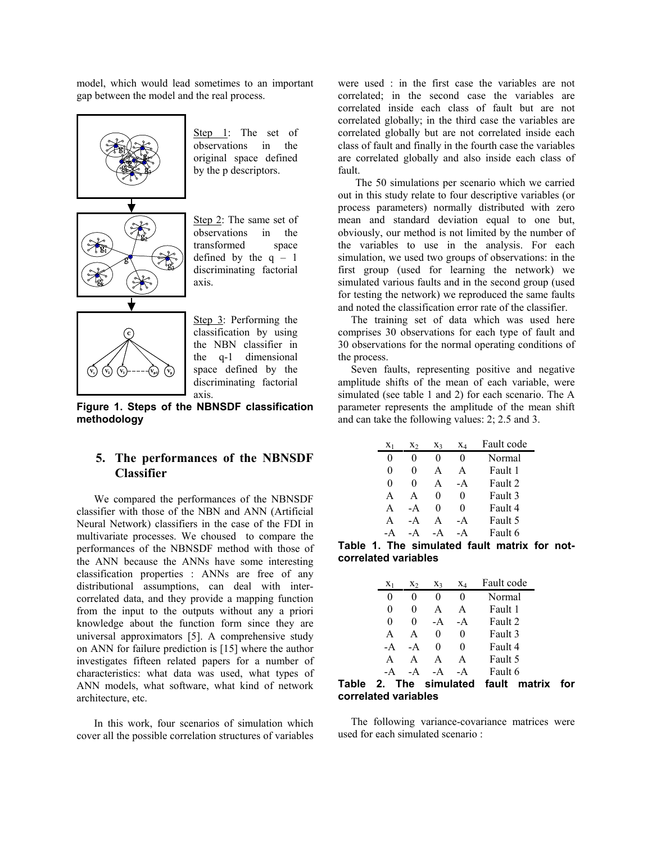model, which would lead sometimes to an important gap between the model and the real process.



Step 1: The set of observations in the original space defined by the p descriptors.

Step 2: The same set of observations in the transformed space defined by the  $q - 1$ discriminating factorial axis.

Step 3: Performing the classification by using the NBN classifier in the q-1 dimensional space defined by the discriminating factorial axis.

Figure 1. Steps of the NBNSDF classification methodology

#### 5. The performances of the NBNSDF **Classifier**

We compared the performances of the NBNSDF classifier with those of the NBN and ANN (Artificial Neural Network) classifiers in the case of the FDI in multivariate processes. We choused to compare the performances of the NBNSDF method with those of the ANN because the ANNs have some interesting classification properties : ANNs are free of any distributional assumptions, can deal with intercorrelated data, and they provide a mapping function from the input to the outputs without any a priori knowledge about the function form since they are universal approximators [5]. A comprehensive study on ANN for failure prediction is [15] where the author investigates fifteen related papers for a number of characteristics: what data was used, what types of ANN models, what software, what kind of network architecture, etc.

In this work, four scenarios of simulation which cover all the possible correlation structures of variables were used : in the first case the variables are not correlated: in the second case the variables are correlated inside each class of fault but are not correlated globally; in the third case the variables are correlated globally but are not correlated inside each class of fault and finally in the fourth case the variables are correlated globally and also inside each class of fault.

The 50 simulations per scenario which we carried out in this study relate to four descriptive variables (or process parameters) normally distributed with zero mean and standard deviation equal to one but, obviously, our method is not limited by the number of the variables to use in the analysis. For each simulation, we used two groups of observations: in the first group (used for learning the network) we simulated various faults and in the second group (used for testing the network) we reproduced the same faults and noted the classification error rate of the classifier.

The training set of data which was used here comprises 30 observations for each type of fault and 30 observations for the normal operating conditions of the process.

Seven faults, representing positive and negative amplitude shifts of the mean of each variable, were simulated (see table 1 and 2) for each scenario. The A parameter represents the amplitude of the mean shift and can take the following values:  $2$ ;  $2.5$  and  $3$ .

| $X_1$ | X2   | Xз | XΔ           | Fault code |
|-------|------|----|--------------|------------|
|       |      | 0  |              | Normal     |
| 0     | 0    | A  | $\mathsf{A}$ | Fault 1    |
| 0     | 0    | A  | - A          | Fault 2    |
| A     | A    | 0  | 0            | Fault 3    |
| A     | $-A$ | 0  | 0            | Fault 4    |
| A     | $-A$ | A  | - A          | Fault 5    |
|       |      |    |              | Fault 6    |

Table 1. The simulated fault matrix for notcorrelated variables

| $X_1$ | X٠ | X3   | $X_4$ | Fault code |
|-------|----|------|-------|------------|
| 0     |    |      | 0     | Normal     |
| 0     | 0  | A    | A     | Fault 1    |
| 0     | 0  | $-A$ | - A   | Fault 2    |
| A     | A  |      | 0     | Fault 3    |
| - A   | -A |      | 0     | Fault 4    |
| A     | A  |      | A     | Fault 5    |
|       |    |      |       | Fault 6    |

Table 2. The simulated fault matrix for correlated variables

The following variance-covariance matrices were used for each simulated scenario: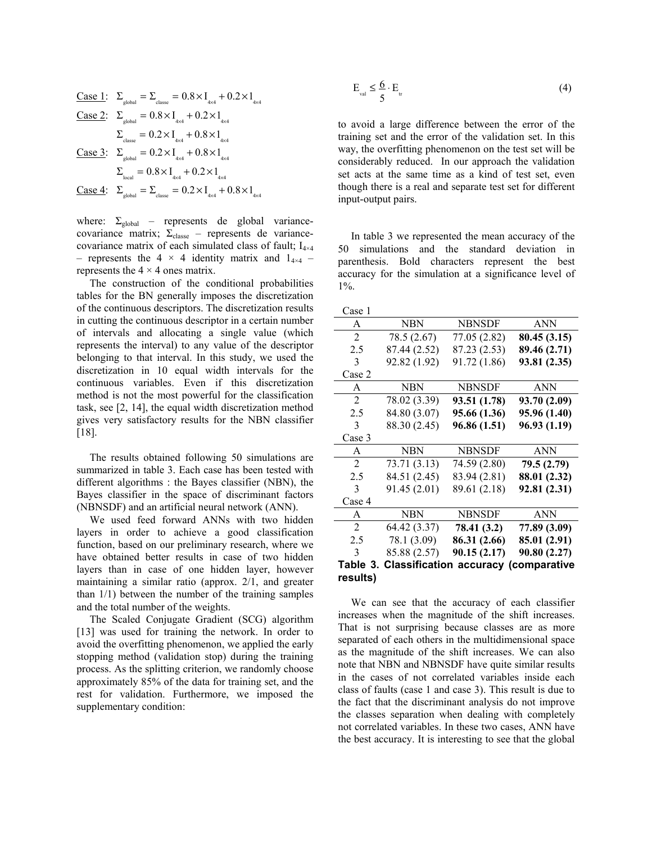| Case 1:                                                                          | $\Sigma_{\text{global}} = \Sigma_{\text{classe}} = 0.8 \times I_{\text{4x4}} + 0.2 \times I_{\text{4x4}}$ |
|----------------------------------------------------------------------------------|-----------------------------------------------------------------------------------------------------------|
| Case 2:                                                                          | $\Sigma_{\text{global}} = 0.8 \times I_{\text{4x4}} + 0.2 \times I_{\text{4x4}}$                          |
| $\Sigma_{\text{classe}} = 0.2 \times I_{\text{4x4}} + 0.8 \times I_{\text{4x4}}$ |                                                                                                           |
| Case 3:                                                                          | $\Sigma_{\text{global}} = 0.2 \times I_{\text{4x4}} + 0.8 \times I_{\text{4x4}}$                          |
| $\Sigma_{\text{local}} = 0.8 \times I_{\text{4x4}} + 0.2 \times I_{\text{4x4}}$  |                                                                                                           |
| Case 4:                                                                          | $\Sigma_{\text{global}} = \Sigma_{\text{classe}} = 0.2 \times I_{\text{4x4}} + 0.8 \times I_{\text{4x4}}$ |

where:  $\Sigma_{\text{global}}$  – represents de global variancecovariance matrix;  $\Sigma_{\text{classe}}$  – represents de variancecovariance matrix of each simulated class of fault; I<sub>4×4</sub> - represents the 4  $\times$  4 identity matrix and 1<sub>4×4</sub> represents the  $4 \times 4$  ones matrix.

The construction of the conditional probabilities tables for the BN generally imposes the discretization of the continuous descriptors. The discretization results in cutting the continuous descriptor in a certain number of intervals and allocating a single value (which represents the interval) to any value of the descriptor belonging to that interval. In this study, we used the discretization in 10 equal width intervals for the continuous variables. Even if this discretization method is not the most powerful for the classification task, see [2, 14], the equal width discretization method gives very satisfactory results for the NBN classifier  $[18]$ .

The results obtained following 50 simulations are summarized in table 3. Each case has been tested with different algorithms: the Bayes classifier (NBN), the Bayes classifier in the space of discriminant factors (NBNSDF) and an artificial neural network (ANN).

We used feed forward ANNs with two hidden layers in order to achieve a good classification function, based on our preliminary research, where we have obtained better results in case of two hidden layers than in case of one hidden layer, however maintaining a similar ratio (approx.  $2/1$ , and greater than  $1/1$ ) between the number of the training samples and the total number of the weights.

The Scaled Conjugate Gradient (SCG) algorithm [13] was used for training the network. In order to avoid the overfitting phenomenon, we applied the early stopping method (validation stop) during the training process. As the splitting criterion, we randomly choose approximately 85% of the data for training set, and the rest for validation. Furthermore, we imposed the supplementary condition:

$$
E_{\rm val} \le \frac{6}{5} \cdot E_{\rm tr} \tag{4}
$$

to avoid a large difference between the error of the training set and the error of the validation set. In this way, the overfitting phenomenon on the test set will be considerably reduced. In our approach the validation set acts at the same time as a kind of test set, even though there is a real and separate test set for different input-output pairs.

In table 3 we represented the mean accuracy of the 50 simulations and the standard deviation in parenthesis. Bold characters represent the best accuracy for the simulation at a significance level of  $1\%$ .

| Case 1                                                  |              |               |              |  |  |  |  |  |
|---------------------------------------------------------|--------------|---------------|--------------|--|--|--|--|--|
| A                                                       | <b>NBN</b>   | <b>NBNSDF</b> | <b>ANN</b>   |  |  |  |  |  |
| 2                                                       | 78.5 (2.67)  | 77.05 (2.82)  | 80.45 (3.15) |  |  |  |  |  |
| 2.5                                                     | 87.44 (2.52) | 87.23 (2.53)  | 89.46 (2.71) |  |  |  |  |  |
| 3                                                       | 92.82 (1.92) | 91.72 (1.86)  | 93.81 (2.35) |  |  |  |  |  |
| Case 2                                                  |              |               |              |  |  |  |  |  |
| A                                                       | <b>NBN</b>   | <b>NBNSDF</b> | <b>ANN</b>   |  |  |  |  |  |
| 2                                                       | 78.02 (3.39) | 93.51 (1.78)  | 93.70 (2.09) |  |  |  |  |  |
| 2.5                                                     | 84.80 (3.07) | 95.66 (1.36)  | 95.96 (1.40) |  |  |  |  |  |
| 3                                                       | 88.30 (2.45) | 96.86 (1.51)  | 96.93 (1.19) |  |  |  |  |  |
| Case 3                                                  |              |               |              |  |  |  |  |  |
| A                                                       | <b>NBN</b>   | <b>NBNSDF</b> | <b>ANN</b>   |  |  |  |  |  |
| 2                                                       | 73.71 (3.13) | 74.59 (2.80)  | 79.5 (2.79)  |  |  |  |  |  |
| 2.5                                                     | 84.51 (2.45) | 83.94 (2.81)  | 88.01 (2.32) |  |  |  |  |  |
| 3                                                       | 91.45 (2.01) | 89.61 (2.18)  | 92.81 (2.31) |  |  |  |  |  |
| Case 4                                                  |              |               |              |  |  |  |  |  |
| A                                                       | <b>NBN</b>   | <b>NBNSDF</b> | <b>ANN</b>   |  |  |  |  |  |
| $\overline{2}$                                          | 64.42 (3.37) | 78.41 (3.2)   | 77.89 (3.09) |  |  |  |  |  |
| 2.5                                                     | 78.1 (3.09)  | 86.31 (2.66)  | 85.01 (2.91) |  |  |  |  |  |
| 3                                                       | 85.88 (2.57) | 90.15(2.17)   | 90.80 (2.27) |  |  |  |  |  |
| <b>Table 3. Classification</b><br>accuracy (comparative |              |               |              |  |  |  |  |  |
| results)                                                |              |               |              |  |  |  |  |  |

We can see that the accuracy of each classifier increases when the magnitude of the shift increases. That is not surprising because classes are as more separated of each others in the multidimensional space as the magnitude of the shift increases. We can also note that NBN and NBNSDF have quite similar results in the cases of not correlated variables inside each class of faults (case 1 and case 3). This result is due to the fact that the discriminant analysis do not improve the classes separation when dealing with completely not correlated variables. In these two cases, ANN have the best accuracy. It is interesting to see that the global